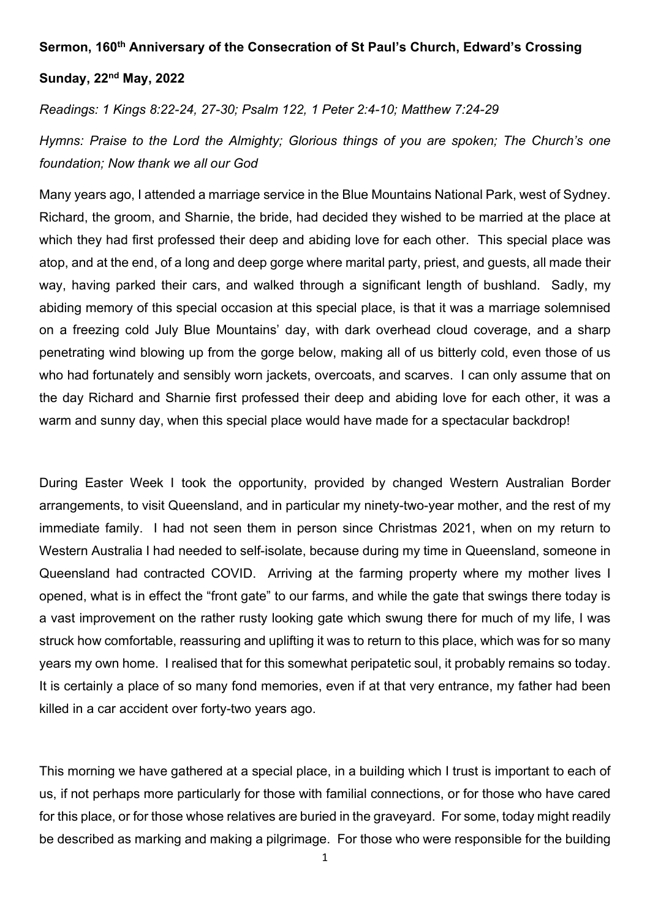## Sermon, 160th Anniversary of the Consecration of St Paul's Church, Edward's Crossing

## Sunday, 22nd May, 2022

Readings: 1 Kings 8:22-24, 27-30; Psalm 122, 1 Peter 2:4-10; Matthew 7:24-29

Hymns: Praise to the Lord the Almighty; Glorious things of you are spoken; The Church's one foundation; Now thank we all our God

Many years ago, I attended a marriage service in the Blue Mountains National Park, west of Sydney. Richard, the groom, and Sharnie, the bride, had decided they wished to be married at the place at which they had first professed their deep and abiding love for each other. This special place was atop, and at the end, of a long and deep gorge where marital party, priest, and guests, all made their way, having parked their cars, and walked through a significant length of bushland. Sadly, my abiding memory of this special occasion at this special place, is that it was a marriage solemnised on a freezing cold July Blue Mountains' day, with dark overhead cloud coverage, and a sharp penetrating wind blowing up from the gorge below, making all of us bitterly cold, even those of us who had fortunately and sensibly worn jackets, overcoats, and scarves. I can only assume that on the day Richard and Sharnie first professed their deep and abiding love for each other, it was a warm and sunny day, when this special place would have made for a spectacular backdrop!

During Easter Week I took the opportunity, provided by changed Western Australian Border arrangements, to visit Queensland, and in particular my ninety-two-year mother, and the rest of my immediate family. I had not seen them in person since Christmas 2021, when on my return to Western Australia I had needed to self-isolate, because during my time in Queensland, someone in Queensland had contracted COVID. Arriving at the farming property where my mother lives I opened, what is in effect the "front gate" to our farms, and while the gate that swings there today is a vast improvement on the rather rusty looking gate which swung there for much of my life, I was struck how comfortable, reassuring and uplifting it was to return to this place, which was for so many years my own home. I realised that for this somewhat peripatetic soul, it probably remains so today. It is certainly a place of so many fond memories, even if at that very entrance, my father had been killed in a car accident over forty-two years ago.

This morning we have gathered at a special place, in a building which I trust is important to each of us, if not perhaps more particularly for those with familial connections, or for those who have cared for this place, or for those whose relatives are buried in the graveyard. For some, today might readily be described as marking and making a pilgrimage. For those who were responsible for the building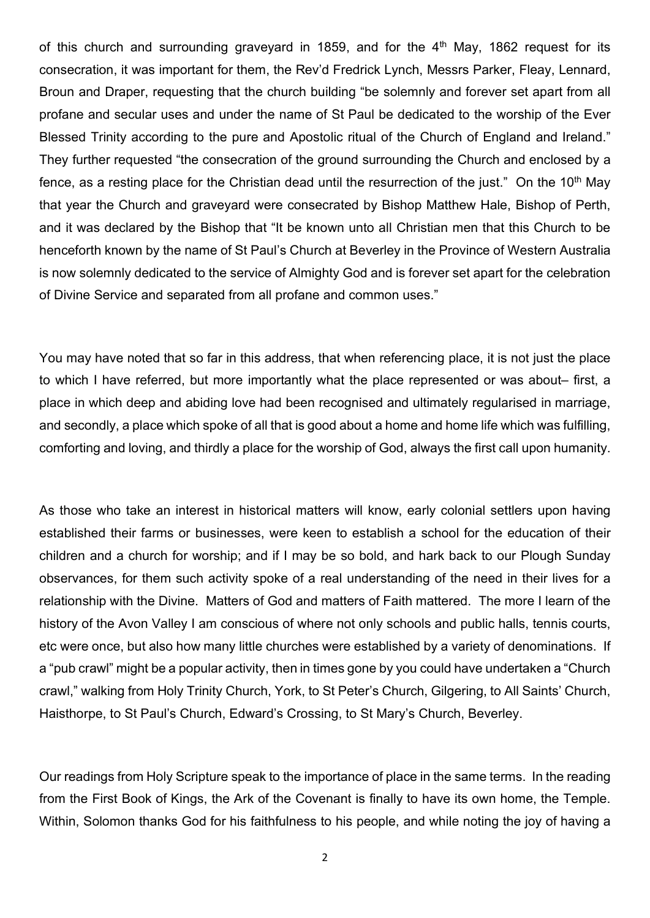of this church and surrounding graveyard in 1859, and for the  $4<sup>th</sup>$  May, 1862 request for its consecration, it was important for them, the Rev'd Fredrick Lynch, Messrs Parker, Fleay, Lennard, Broun and Draper, requesting that the church building "be solemnly and forever set apart from all profane and secular uses and under the name of St Paul be dedicated to the worship of the Ever Blessed Trinity according to the pure and Apostolic ritual of the Church of England and Ireland." They further requested "the consecration of the ground surrounding the Church and enclosed by a fence, as a resting place for the Christian dead until the resurrection of the just." On the 10<sup>th</sup> May that year the Church and graveyard were consecrated by Bishop Matthew Hale, Bishop of Perth, and it was declared by the Bishop that "It be known unto all Christian men that this Church to be henceforth known by the name of St Paul's Church at Beverley in the Province of Western Australia is now solemnly dedicated to the service of Almighty God and is forever set apart for the celebration of Divine Service and separated from all profane and common uses."

You may have noted that so far in this address, that when referencing place, it is not just the place to which I have referred, but more importantly what the place represented or was about– first, a place in which deep and abiding love had been recognised and ultimately regularised in marriage, and secondly, a place which spoke of all that is good about a home and home life which was fulfilling, comforting and loving, and thirdly a place for the worship of God, always the first call upon humanity.

As those who take an interest in historical matters will know, early colonial settlers upon having established their farms or businesses, were keen to establish a school for the education of their children and a church for worship; and if I may be so bold, and hark back to our Plough Sunday observances, for them such activity spoke of a real understanding of the need in their lives for a relationship with the Divine. Matters of God and matters of Faith mattered. The more I learn of the history of the Avon Valley I am conscious of where not only schools and public halls, tennis courts, etc were once, but also how many little churches were established by a variety of denominations. If a "pub crawl" might be a popular activity, then in times gone by you could have undertaken a "Church crawl," walking from Holy Trinity Church, York, to St Peter's Church, Gilgering, to All Saints' Church, Haisthorpe, to St Paul's Church, Edward's Crossing, to St Mary's Church, Beverley.

Our readings from Holy Scripture speak to the importance of place in the same terms. In the reading from the First Book of Kings, the Ark of the Covenant is finally to have its own home, the Temple. Within, Solomon thanks God for his faithfulness to his people, and while noting the joy of having a